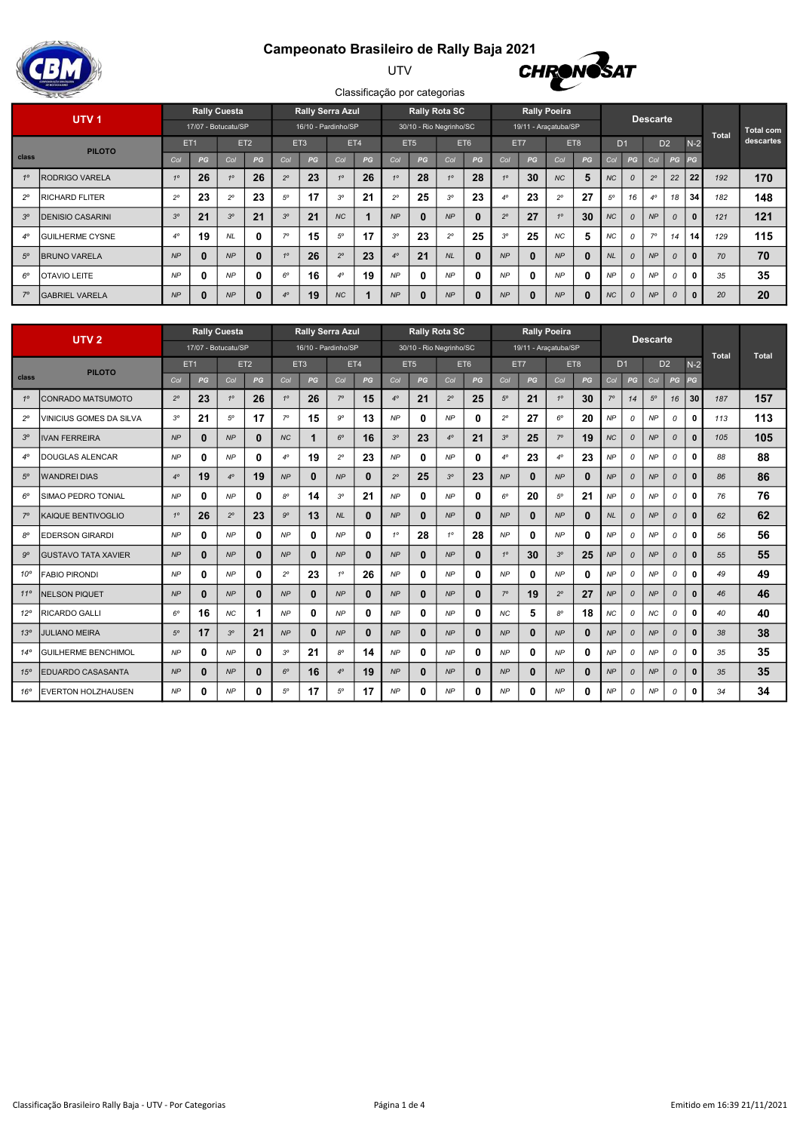## Campeonato Brasileiro de Rally Baja 2021



UTV



|             | UTV <sub>1</sub>        |                 |          | <b>Rally Cuesta</b> |                 |                 |    | <b>Rally Serra Azul</b> |     |             | <b>Rally Rota SC</b>    |             |          |                |              | <b>Rally Poeira</b>  |              |           |                | <b>Descarte</b> |               |              |              |                  |
|-------------|-------------------------|-----------------|----------|---------------------|-----------------|-----------------|----|-------------------------|-----|-------------|-------------------------|-------------|----------|----------------|--------------|----------------------|--------------|-----------|----------------|-----------------|---------------|--------------|--------------|------------------|
|             |                         |                 |          | 17/07 - Botucatu/SP |                 |                 |    | 16/10 - Pardinho/SP     |     |             | 30/10 - Rio Negrinho/SC |             |          |                |              | 19/11 - Araçatuba/SP |              |           |                |                 |               |              | <b>Total</b> | <b>Total com</b> |
|             | <b>PILOTO</b>           | ET <sub>1</sub> |          |                     | ET <sub>2</sub> | ET <sub>3</sub> |    |                         | ET4 |             | ET <sub>5</sub>         |             | ET6      | ET7            |              |                      | ET8          |           | D <sub>1</sub> | D <sub>2</sub>  |               | $N-2$        |              | descartes        |
| class       |                         | Col             | PG       | Col                 | PG              | Col             | PG | Col                     | PG  | Col         | PG                      | Col         | PG       | Col            | PG           | Col                  | PG           | Col       | PG             | Col             | PG            | PG           |              |                  |
| 10          | RODRIGO VARELA          | 10              | 26       | 10                  | 26              | $2^{\circ}$     | 23 | 10                      | 26  | 10          | 28                      | 10          | 28       | 40             | 30           | <b>NC</b>            | 5            | <b>NC</b> | 0              | $2^{\circ}$     | 22            | 22           | 192          | 170              |
| $2^{\circ}$ | <b>RICHARD FLITER</b>   | $2^{\circ}$     | 23       | $2^{\circ}$         | 23              | $5^{\circ}$     | 17 | $3^{\circ}$             | 21  | $2^{\circ}$ | 25                      | $3^{\circ}$ | 23       | $4^\circ$      | 23           | $2^{\circ}$          | 27           | 50        | 16             | $4^{\circ}$     | 18            | 34           | 182          | 148              |
| $3^{\circ}$ | <b>DENISIO CASARINI</b> | $3^{\circ}$     | 21       | $3^{\circ}$         | 21              | $3^{\circ}$     | 21 | <b>NC</b>               |     | NP          | $\bf{0}$                | NP          |          | $2^{\circ}$    | 27           | 10                   | 30           | <b>NC</b> | 0              | NP              |               | $\bf{0}$     | 121          | 121              |
| $4^\circ$   | <b>GUILHERME CYSNE</b>  | $4^\circ$       | 19       | <b>NL</b>           | $\bf{0}$        | 70              | 15 | $5^{\circ}$             | 17  | $3^\circ$   | 23                      | $2^{\circ}$ | 25       | 3 <sup>o</sup> | 25           | <b>NC</b>            | 5            | NC        | 0              | 70              | 14            | 14           | 129          | 115              |
| $5^{\circ}$ | <b>IBRUNO VARELA</b>    | NP              | $\bf{0}$ | NP                  | $\bf{0}$        | 10              | 26 | $2^{\circ}$             | 23  | $4^\circ$   | 21                      | <b>NL</b>   |          | NP             | $\bf{0}$     | NP                   | $\mathbf{0}$ | <b>NL</b> | 0              | NP              |               |              | 70           | 70               |
| $6^\circ$   | <b>OTAVIO LEITE</b>     | <b>NP</b>       |          | NP                  | $\bf{0}$        | $6^\circ$       | 16 | $4^\circ$               | 19  | <b>NP</b>   | $\mathbf{0}$            | <b>NP</b>   |          | <b>NP</b>      | $\mathbf 0$  | <b>NP</b>            | 0            | <b>NP</b> | 0              | <b>NP</b>       |               | $\mathbf{0}$ | 35           | 35               |
| $7^\circ$   | <b>GABRIEL VARELA</b>   | NP              | $\bf{0}$ | NP                  | 0               | $4^{\circ}$     | 19 | $NC$                    |     | NP          | $\bf{0}$                | NP          | $\bf{0}$ | NP             | $\mathbf{0}$ | NP                   | $\bf{0}$     | NC        | 0              | NP              | $\mathcal{O}$ |              | 20           | 20               |

|                 | <b>Rally Cuesta</b><br>UTV <sub>2</sub><br>17/07 - Botucatu/SP |             |                 |             |                 |             | <b>Rally Serra Azul</b> |             |              |             |                 | <b>Rally Rota SC</b>    |              |             |              | <b>Rally Poeira</b>  |              |                |          | <b>Descarte</b> |                |              |              |              |
|-----------------|----------------------------------------------------------------|-------------|-----------------|-------------|-----------------|-------------|-------------------------|-------------|--------------|-------------|-----------------|-------------------------|--------------|-------------|--------------|----------------------|--------------|----------------|----------|-----------------|----------------|--------------|--------------|--------------|
|                 |                                                                |             |                 |             |                 |             | 16/10 - Pardinho/SP     |             |              |             |                 | 30/10 - Rio Negrinho/SC |              |             |              | 19/11 - Araçatuba/SP |              |                |          |                 |                |              | <b>Total</b> | <b>Total</b> |
|                 | <b>PILOTO</b>                                                  |             | ET <sub>1</sub> |             | ET <sub>2</sub> |             | ET <sub>3</sub>         |             | ET4          |             | ET <sub>5</sub> |                         | ET6          |             | ET7          |                      | ET8          | D <sub>1</sub> |          |                 | D <sub>2</sub> | $N-2$        |              |              |
| class           |                                                                | Col         | PG              | Col         | PG              | Col         | PG                      | Col         | PG           | Col         | PG              | Col                     | PG           | Col         | PG           | Col                  | PG           | Col            | PG       | Col             | PG             | PG           |              |              |
| $1^\circ$       | CONRADO MATSUMOTO                                              | $2^{\circ}$ | 23              | $1^\circ$   | 26              | $1^\circ$   | 26                      | $7^\circ$   | 15           | $4^\circ$   | 21              | $2^{\circ}$             | 25           | $5^{\circ}$ | 21           | $1^{\circ}$          | 30           | $7^\circ$      | 14       | $5^{\circ}$     | 16             | 30           | 187          | 157          |
| $2^{\circ}$     | VINICIUS GOMES DA SILVA                                        | $3^{\circ}$ | 21              | $5^{\circ}$ | 17              | $7^\circ$   | 15                      | <b>go</b>   | 13           | <b>NP</b>   | 0               | NP                      | 0            | $2^{\circ}$ | 27           | $6^\circ$            | 20           | NP             | 0        | NP              | 0              | 0            | 113          | 113          |
| $3^{\circ}$     | <b>IVAN FERREIRA</b>                                           | NP          | $\bf{0}$        | NP          | 0               | <b>NC</b>   | 1                       | $6^\circ$   | 16           | $3^{\circ}$ | 23              | $4^\circ$               | 21           | $3^{\circ}$ | 25           | $7^\circ$            | 19           | <b>NC</b>      | $\Omega$ | NP              | $\Omega$       | $\bf{0}$     | 105          | 105          |
| $4^\circ$       | DOUGLAS ALENCAR                                                | <b>NP</b>   | 0               | NP          | 0               | $4^\circ$   | 19                      | $2^{\circ}$ | 23           | NP          | 0               | NP                      | 0            | $4^{\circ}$ | 23           | $4^\circ$            | 23           | <b>NP</b>      | 0        | NP              | 0              | 0            | 88           | 88           |
| $5^\circ$       | <b>WANDREI DIAS</b>                                            | $4^\circ$   | 19              | $4^\circ$   | 19              | NP          | $\mathbf{0}$            | NP          | $\bf{0}$     | $2^{\circ}$ | 25              | $3^{\circ}$             | 23           | NP          | $\bf{0}$     | NP                   | $\bf{0}$     | NP             | 0        | NP              | $\mathcal{O}$  | $\mathbf{0}$ | 86           | 86           |
| $6^\circ$       | SIMAO PEDRO TONIAL                                             | <b>NP</b>   | $\mathbf{0}$    | NP          | 0               | $8^{\circ}$ | 14                      | $3^\circ$   | 21           | <b>NP</b>   | 0               | <b>NP</b>               | $\mathbf{0}$ | $6^{\circ}$ | 20           | $5^\circ$            | 21           | <b>NP</b>      | 0        | NP              | $\mathcal{O}$  | $\Omega$     | 76           | 76           |
| $7^\circ$       | KAIQUE BENTIVOGLIO                                             | 10          | 26              | $2^{\circ}$ | 23              | $9^\circ$   | 13                      | NL          | $\mathbf{0}$ | NP          | $\bf{0}$        | NP                      | $\mathbf{0}$ | NP          | $\mathbf{0}$ | NP                   | $\mathbf{0}$ | NL             | 0        | NP              | $\mathcal{O}$  | $\bf{0}$     | 62           | 62           |
| $8^{\circ}$     | <b>EDERSON GIRARDI</b>                                         | NP          | 0               | NP          | 0               | NP          | $\mathbf{0}$            | NP          | $\mathbf{0}$ | 10          | 28              | 10                      | 28           | NP          | 0            | NP                   | $\mathbf{0}$ | NP             | 0        | NP              | $\mathcal{O}$  | 0            | 56           | 56           |
| $9^{\circ}$     | <b>GUSTAVO TATA XAVIER</b>                                     | NP          | $\bf{0}$        | NP          | 0               | NP          | $\mathbf{0}$            | NP          | $\bf{0}$     | NP          | $\bf{0}$        | NP                      | $\bf{0}$     | 10          | 30           | $3^{\circ}$          | 25           | <b>NP</b>      | $\Omega$ | NP              | $\Omega$       | $\bf{0}$     | 55           | 55           |
| $10^{\circ}$    | <b>FABIO PIRONDI</b>                                           | NP          | 0               | NP          | 0               | $2^{\circ}$ | 23                      | 10          | 26           | <b>NP</b>   | 0               | NP                      | 0            | NP          | 0            | <b>NP</b>            | $\mathbf{0}$ | <b>NP</b>      | 0        | NP              | $\mathcal{O}$  | 0            | 49           | 49           |
| $11^{\circ}$    | <b>NELSON PIQUET</b>                                           | NP          | 0               | NP          | ŋ.              | NP          | $\mathbf{0}$            | NP          | $\bf{0}$     | NP          | 0               | NP                      | $\bf{0}$     | $7^\circ$   | 19           | $2^{\circ}$          | 27           | NP             | 0        | NP              | $\mathcal{O}$  | $\bf{0}$     | 46           | 46           |
| $12^{\circ}$    | RICARDO GALLI                                                  | $6^{\circ}$ | 16              | <b>NC</b>   |                 | NP          | $\mathbf{0}$            | NP          | $\mathbf{0}$ | NP          | 0               | NP                      | 0            | <b>NC</b>   | 5            | $8^{\circ}$          | 18           | NC             | 0        | <b>NC</b>       | 0              | 0            | 40           | 40           |
| 13 <sup>°</sup> | <b>JULIANO MEIRA</b>                                           | $5^\circ$   | 17              | $3^{\circ}$ | 21              | NP          | $\mathbf{0}$            | NP          | $\mathbf{0}$ | NP          | 0               | NP                      | $\mathbf{0}$ | NP          | $\bf{0}$     | NP                   | $\bf{0}$     | NP             | 0        | NP              | $\mathcal{O}$  | $\mathbf{0}$ | 38           | 38           |
| $14^{\circ}$    | <b>GUILHERME BENCHIMOL</b>                                     | NP          | 0               | NP          | 0               | $3^{\circ}$ | 21                      | $8^\circ$   | 14           | NP          | 0               | NP                      | 0            | NP          | 0            | <b>NP</b>            | $\mathbf{0}$ | NP             | 0        | NP              | 0              | 0            | 35           | 35           |
| $15^\circ$      | EDUARDO CASASANTA                                              | NP          | $\bf{0}$        | NP          | 0               | $6^\circ$   | 16                      | $4^\circ$   | 19           | NP          | 0               | NP                      | $\bf{0}$     | NP          | $\bf{0}$     | NP                   | $\bf{0}$     | NP             | 0        | NP              | $\Omega$       | $\bf{0}$     | 35           | 35           |
| $16^\circ$      | <b>EVERTON HOLZHAUSEN</b>                                      | <b>NP</b>   | 0               | <b>NP</b>   | 0               | $5^{\circ}$ | 17                      | $5^\circ$   | 17           | <b>NP</b>   | 0               | <b>NP</b>               | 0            | <b>NP</b>   | 0            | <b>NP</b>            | 0            | <b>NP</b>      | 0        | <b>NP</b>       | 0              | 0            | 34           | 34           |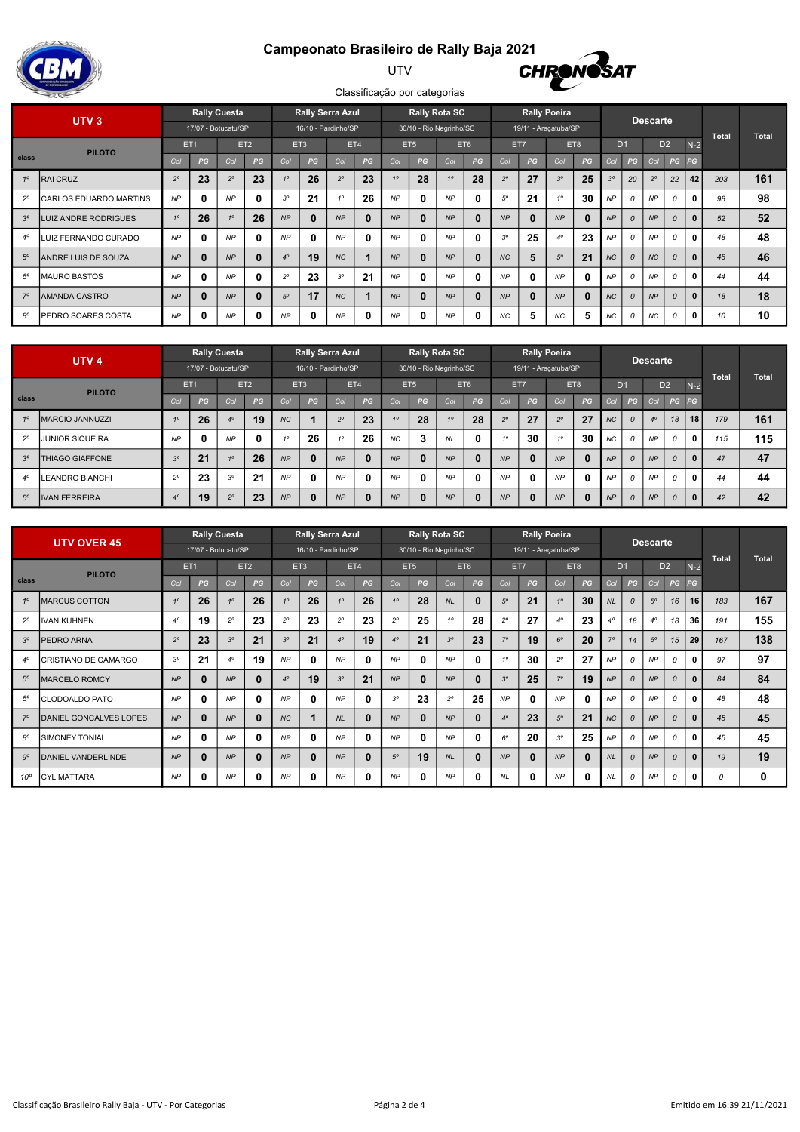# Campeonato Brasileiro de Rally Baja 2021<br>CHRONOSAT



#### UTV



|             | UTV <sub>3</sub>               |                 |                     | <b>Rally Cuesta</b> |                 |                 |          | <b>Rally Serra Azul</b> |              |           | <b>Rally Rota SC</b>    |           |                 |                |              | <b>Rally Poeira</b>  |          |                |                | <b>Descarte</b> |                |       |              |              |
|-------------|--------------------------------|-----------------|---------------------|---------------------|-----------------|-----------------|----------|-------------------------|--------------|-----------|-------------------------|-----------|-----------------|----------------|--------------|----------------------|----------|----------------|----------------|-----------------|----------------|-------|--------------|--------------|
|             |                                |                 | 17/07 - Botucatu/SP |                     |                 |                 |          | 16/10 - Pardinho/SP     |              |           | 30/10 - Rio Negrinho/SC |           |                 |                |              | 19/11 - Araçatuba/SP |          |                |                |                 |                |       | <b>Total</b> | <b>Total</b> |
|             | <b>PILOTO</b>                  | ET <sub>1</sub> |                     |                     | ET <sub>2</sub> | ET <sub>3</sub> |          |                         | ET4          |           | ET <sub>5</sub>         |           | ET <sub>6</sub> | ET7            |              |                      | ET8      |                | D <sub>1</sub> |                 | D <sub>2</sub> | $N-2$ |              |              |
| class       |                                | Co              | PG                  | Col                 | PG              | Col             | PG       | Col                     | PG           | Col       | PG                      | Col       | PG              | Col            | PG           | Col                  | PG       | Co             | PG             | Col             | PG             | PG    |              |              |
| 10          | <b>RAI CRUZ</b>                | $2^{\circ}$     | 23                  | $2^{\circ}$         | 23              | 10              | 26       | $2^{\circ}$             | 23           | 10        | 28                      | 10        | 28              | $2^{\circ}$    | 27           | 3 <sup>o</sup>       | 25       | 3 <sup>o</sup> | 20             | $2^{\circ}$     | 22             | 42    | 203          | 161          |
| $2^{\circ}$ | <b>ICARLOS EDUARDO MARTINS</b> | <b>NP</b>       | 0                   | <b>NP</b>           | $\mathbf{0}$    | $3^{\circ}$     | 21       | 10 <sup>1</sup>         | 26           | <b>NP</b> | $\mathbf{0}$            | <b>NP</b> |                 | $5^{\circ}$    | 21           | 10                   | 30       | <b>NP</b>      | 0              | <b>NP</b>       |                |       | 98           | 98           |
| $3^{\circ}$ | LUIZ ANDRE RODRIGUES           | 10              | 26                  | 10                  | 26              | NP              | $\bf{0}$ | NP                      | $\mathbf{0}$ | <b>NP</b> | $\bf{0}$                | NP        |                 | NP             | $\mathbf{0}$ | NP                   | $\bf{0}$ | <b>NP</b>      | $\Omega$       | NP              |                |       | 52           | 52           |
| $4^\circ$   | LUIZ FERNANDO CURADO           | <b>NP</b>       | 0                   | <b>NP</b>           | 0               | <b>NP</b>       | 0        | NP                      | $\mathbf 0$  | NP        | $\mathbf{0}$            | <b>NP</b> |                 | 3 <sup>o</sup> | 25           | $4^\circ$            | 23       | NP             | 0              | <b>NP</b>       |                |       | 48           | 48           |
| $5^{\circ}$ | <b>IANDRE LUIS DE SOUZA</b>    | NP              | 0                   | NP                  | $\bf{0}$        | $4^\circ$       | 19       | <b>NC</b>               |              | NP        | $\bf{0}$                | NP        |                 | <b>NC</b>      | 5            | $5^\circ$            | 21       | <b>NC</b>      | $\mathcal{O}$  | <b>NC</b>       | $\Omega$       |       | 46           | 46           |
| $6^\circ$   | IMAURO BASTOS                  | <b>NP</b>       | 0                   | <b>NP</b>           | $\mathbf{0}$    | $2^{\circ}$     | 23       | $3^{\circ}$             | 21           | <b>NP</b> | $\mathbf{0}$            | <b>NP</b> |                 | <b>NP</b>      | $\mathbf{0}$ | <b>NP</b>            | $\bf{0}$ | NP             | 0              | <b>NP</b>       |                |       | 44           | 44           |
| $7^\circ$   | IAMANDA CASTRO                 | <b>NP</b>       | 0                   | NP                  | $\bf{0}$        | $5^{\circ}$     | 17       | <b>NC</b>               |              | NP        | $\bf{0}$                | NP        |                 | NP             | $\mathbf{0}$ | NP                   | $\bf{0}$ | <b>NC</b>      | $\Omega$       | NP              | $\Omega$       |       | 18           | 18           |
| $8^{\circ}$ | PEDRO SOARES COSTA             | <b>NP</b>       | 0                   | <b>NP</b>           | 0               | <b>NP</b>       | 0        | NP                      | $\mathbf 0$  | NP        | 0                       | <b>NP</b> |                 | <b>NC</b>      | 5            | NC                   | 5        | NC             | 0              | NC              |                |       | 10           | 10           |

|             | UTV <sub>4</sub>       |                |                 | <b>Rally Cuesta</b><br>17/07 - Botucatu/SP |                 |           |              | <b>Rally Serra Azul</b><br>16/10 - Pardinho/SP |              |                 |                 | <b>Rally Rota SC</b><br>30/10 - Rio Negrinho/SC |              |             | 19/11 - Araçatuba/SP | <b>Rally Poeira</b> |          |                |               | <b>Descarte</b> |                |              |              |              |
|-------------|------------------------|----------------|-----------------|--------------------------------------------|-----------------|-----------|--------------|------------------------------------------------|--------------|-----------------|-----------------|-------------------------------------------------|--------------|-------------|----------------------|---------------------|----------|----------------|---------------|-----------------|----------------|--------------|--------------|--------------|
|             | <b>PILOTO</b>          |                | ET <sub>1</sub> |                                            | ET <sub>2</sub> |           | ET3          |                                                | ET4          |                 | ET <sub>5</sub> | ET6                                             |              | ET7         |                      |                     | ET8      | D <sub>1</sub> |               |                 | D <sub>2</sub> | $N-2$        | <b>Total</b> | <b>Total</b> |
| class       |                        | Col            | PG              | Col                                        | PG              | Col       | PG           | Col                                            | PG           | Col             | PG              | Col                                             | PG           | Co          | PG                   | Co                  | PG       | Col            | PG            | Col             | PG             | PG           |              |              |
| 10          | <b>MARCIO JANNUZZI</b> | 10             | 26              | $4^\circ$                                  | 19              | <b>NC</b> |              | $2^{\circ}$                                    | 23           | 10 <sup>1</sup> | 28              | 10                                              | 28           | $2^{\circ}$ | 27                   | $2^{\circ}$         | 27       | <b>NC</b>      | $\mathcal{O}$ | $4^\circ$       | 18             | 18           | 179          | 161          |
| $2^{\circ}$ | IJUNIOR SIQUEIRA       | <b>NP</b>      | 0               | <b>NP</b>                                  | o               | 40        | 26           |                                                | 26           | NC              | 3               | <b>NL</b>                                       | $\mathbf{0}$ |             | 30                   | 10                  | 30       | NC             | 0             | <b>NP</b>       | $\overline{O}$ | $\mathbf{0}$ | 115          | 115          |
| $3^{\circ}$ | THIAGO GIAFFONE        | 3 <sup>o</sup> | 21              | 10                                         | 26              | <b>NP</b> | $\bf{0}$     | NP                                             | $\mathbf{0}$ | NP              | 0               | <b>NP</b>                                       | $\bf{0}$     | <b>NP</b>   | 0                    | NP                  | $\bf{0}$ | NP             | $\mathcal{O}$ | NP              | $\mathcal{O}$  | $\mathbf{0}$ | 47           | 47           |
| $4^\circ$   | LEANDRO BIANCHI        | $2^{\circ}$    | 23              | $3^\circ$                                  | 21              | <b>NP</b> | $\mathbf{0}$ | <b>NP</b>                                      | 0            | <b>NP</b>       | 0               | <b>NP</b>                                       | $\mathbf{0}$ | <b>NP</b>   | 0                    | <b>NP</b>           | 0        | NP             | $\mathcal O$  | <b>NP</b>       | 0              | $\mathbf{0}$ | 44           | 44           |
| $5^\circ$   | <b>IVAN FERREIRA</b>   | $4^\circ$      | 19              | $2^{\circ}$                                | 23              | NP        | $\mathbf{0}$ | NP                                             | $\mathbf{0}$ | NP              | 0               | NP                                              | $\mathbf{0}$ | <b>NP</b>   | $\mathbf{0}$         | NP                  | $\bf{0}$ | NP             | $\mathcal{O}$ | <b>NP</b>       | $\mathcal{O}$  | $\mathbf{0}$ | 42           | 42           |

|              | <b>UTV OVER 45</b>     |                 |              | <b>Rally Cuesta</b> |                 |                 |          | <b>Rally Serra Azul</b> |              |                | <b>Rally Rota SC</b>    |                |              |                |              | <b>Rally Poeira</b>  |          |                |               | <b>Descarte</b> |                |              |              |              |
|--------------|------------------------|-----------------|--------------|---------------------|-----------------|-----------------|----------|-------------------------|--------------|----------------|-------------------------|----------------|--------------|----------------|--------------|----------------------|----------|----------------|---------------|-----------------|----------------|--------------|--------------|--------------|
|              |                        |                 |              | 17/07 - Botucatu/SP |                 |                 |          | 16/10 - Pardinho/SP     |              |                | 30/10 - Rio Negrinho/SC |                |              |                |              | 19/11 - Araçatuba/SP |          |                |               |                 |                |              | <b>Total</b> | <b>Total</b> |
|              | <b>PILOTO</b>          | ET <sub>1</sub> |              |                     | ET <sub>2</sub> | ET <sub>3</sub> |          |                         | ET4          |                | ET <sub>5</sub>         |                | ET6          |                | ET7          |                      | ET8      | D <sub>1</sub> |               |                 | D <sub>2</sub> | $N-2$        |              |              |
| class        |                        | Col             | PG           | Col                 | PG              | Col             | PG       | Col                     | PG           | Col            | PG                      | Col            | PG           | Col            | PG           | Col                  | PG       | Col            | PG            | Col             | $PG$ $PG$      |              |              |              |
| 10           | <b>MARCUS COTTON</b>   | 10              | 26           | 10                  | 26              | 10              | 26       | 10                      | 26           | 10             | 28                      | <b>NL</b>      | $\bf{0}$     | $5^{\circ}$    | 21           | 10                   | 30       | <b>NL</b>      | $\Omega$      | $5^\circ$       | 16             | 16           | 183          | 167          |
| $2^{\circ}$  | <b>IVAN KUHNEN</b>     | $4^\circ$       | 19           | $2^{\circ}$         | 23              | $2^{\circ}$     | 23       | $2^{\circ}$             | 23           | $2^{\circ}$    | 25                      | 10             | 28           | $2^{\circ}$    | 27           | $4^\circ$            | 23       | $4^\circ$      | 18            | $4^\circ$       | 18             | 36           | 191          | 155          |
| $3^{\circ}$  | PEDRO ARNA             | $2^{\circ}$     | 23           | $3^{\circ}$         | 21              | $3^{\circ}$     | 21       | $4^\circ$               | 19           | $4^\circ$      | 21                      | 3 <sup>o</sup> | 23           | $7^\circ$      | 19           | $6^\circ$            | 20       | 70             | 14            | $6^\circ$       | 15             | 29           | 167          | 138          |
| $4^\circ$    | CRISTIANO DE CAMARGO   | 3 <sup>o</sup>  | 21           | $4^\circ$           | 19              | NP              | 0        | <b>NP</b>               | $\mathbf{0}$ | <b>NP</b>      | 0                       | <b>NP</b>      | $\bf{0}$     | 10             | 30           | $2^{\circ}$          | 27       | NP             | 0             | <b>NP</b>       | 0              | 0            | 97           | 97           |
| $5^{\circ}$  | <b>MARCELO ROMCY</b>   | <b>NP</b>       | $\mathbf{0}$ | NP                  | $\bf{0}$        | $4^\circ$       | 19       | $3^{\circ}$             | 21           | NP             | 0                       | NP             | $\bf{0}$     | 3 <sup>o</sup> | 25           | $7^\circ$            | 19       | <b>NP</b>      | $\Omega$      | NP              | 0              |              | 84           | 84           |
| $6^{\circ}$  | <b>CLODOALDO PATO</b>  | <b>NP</b>       | 0            | <b>NP</b>           | 0               | NP              | 0        | <b>NP</b>               | $\mathbf{0}$ | 3 <sup>o</sup> | 23                      | $2^{\circ}$    | 25           | <b>NP</b>      | 0            | <b>NP</b>            | 0        | <b>NP</b>      | 0             | <b>NP</b>       | 0              | $\mathbf{a}$ | 48           | 48           |
| $7^\circ$    | DANIEL GONCALVES LOPES | NP              | $\bf{0}$     | NP                  | 0               | <b>NC</b>       |          | <b>NL</b>               | $\bf{0}$     | NP             | $\bf{0}$                | <b>NP</b>      | $\bf{0}$     | $4^\circ$      | 23           | $5^\circ$            | 21       | <b>NC</b>      | $\mathcal{O}$ | NP              | 0              | $\mathbf{0}$ | 45           | 45           |
| $8^{\circ}$  | <b>SIMONEY TONIAL</b>  | <b>NP</b>       | 0            | <b>NP</b>           | $\mathbf{0}$    | <b>NP</b>       | 0        | <b>NP</b>               | 0            | NP             | 0                       | <b>NP</b>      | $\mathbf{0}$ | $6^{\circ}$    | 20           | $3^{\circ}$          | 25       | <b>NP</b>      | 0             | NP              | 0              |              | 45           | 45           |
| $9^{\circ}$  | DANIEL VANDERLINDE     | <b>NP</b>       | $\bf{0}$     | NP                  | 0               | NP              | $\bf{0}$ | NP                      | $\bf{0}$     | $5^\circ$      | 19                      | <b>NL</b>      | $\bf{0}$     | NP             | $\mathbf{0}$ | NP                   | $\bf{0}$ | NL             | $\mathcal{O}$ | NP              | $\Omega$       | $\bf{0}$     | 19           | 19           |
| $10^{\circ}$ | <b>CYL MATTARA</b>     | <b>NP</b>       | 0            | <b>NP</b>           | 0               | NP              | 0        | <b>NP</b>               | 0            | <b>NP</b>      | 0                       | <b>NP</b>      | 0            | NL             | $\mathbf 0$  | <b>NP</b>            | 0        | NL             | 0             | <b>NP</b>       | 0              | 0            | 0            | 0            |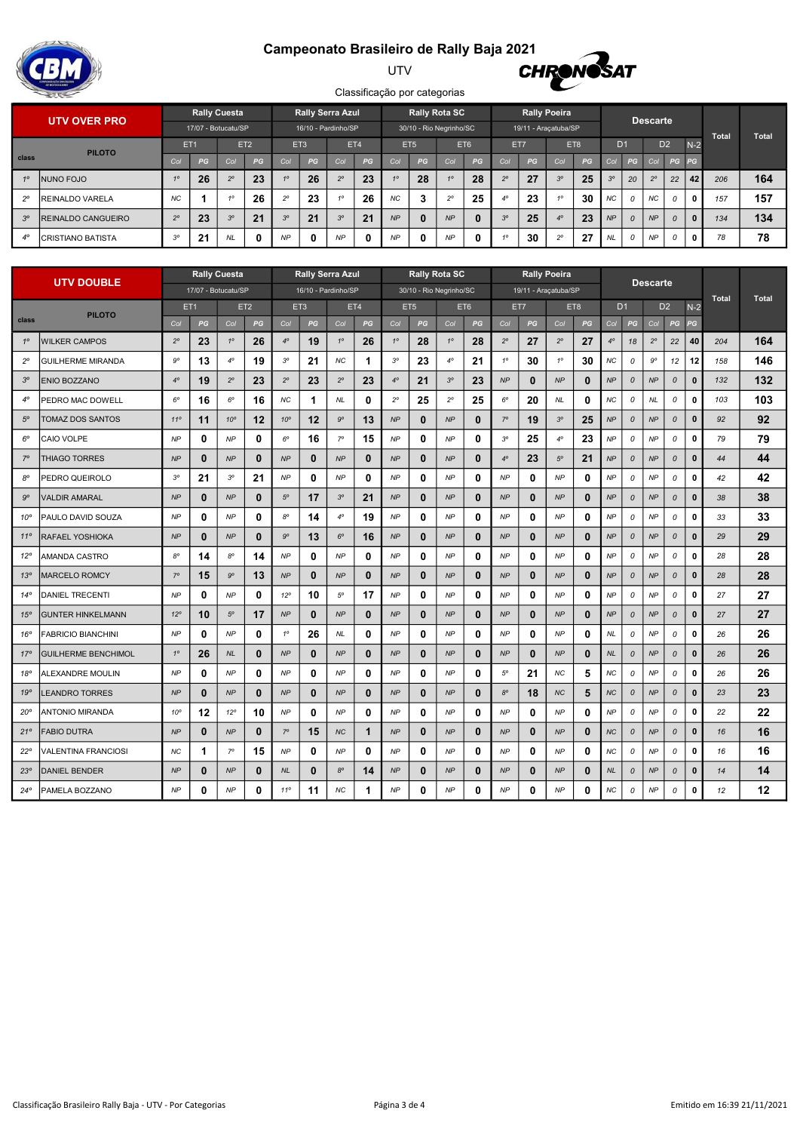## Campeonato Brasileiro de Rally Baja 2021



#### UTV



|             | <b>UTV OVER PRO</b>        |             |                 | <b>Rally Cuesta</b> |                 |                  |    | <b>Rally Serra Azul</b> |              |                 | <b>Rally Rota SC</b>    |             |          |                |    | <b>Rally Poeira</b>  |    |                |               | <b>Descarte</b> |          |                 |              |       |
|-------------|----------------------------|-------------|-----------------|---------------------|-----------------|------------------|----|-------------------------|--------------|-----------------|-------------------------|-------------|----------|----------------|----|----------------------|----|----------------|---------------|-----------------|----------|-----------------|--------------|-------|
|             |                            |             |                 | 17/07 - Botucatu/SP |                 |                  |    | 16/10 - Pardinho/SP     |              |                 | 30/10 - Rio Negrinho/SC |             |          |                |    | 19/11 - Araçatuba/SP |    |                |               |                 |          |                 | <b>Total</b> | Total |
|             | <b>PILOTO</b>              |             | ET <sub>1</sub> |                     | ET <sub>2</sub> | ET3              |    | ET4                     |              | ET <sub>5</sub> |                         | ET6         |          | ET7            |    | ET8                  |    | D <sub>1</sub> |               | D <sub>2</sub>  |          | $N-2$           |              |       |
| class       |                            |             | PG              | Col                 | PG              | Col              | PG | Col                     | PG           | Col             | PG                      | Col         | PG       | Col            | PG | Co                   | PG | Col            | PG            | Col             | PG PG    |                 |              |       |
| 10          | INUNO FOJO                 |             | 26              | $2^{\circ}$         | 23              | 10 <sup>10</sup> | 26 | $2^{\circ}$             | 23           |                 | 28                      | 10          | 28       | $2^{\circ}$    | 27 | 3 <sup>o</sup>       | 25 | $3^{\circ}$    | 20            | $2^{\circ}$     | 22       | 42 <sub>1</sub> | 206          | 164   |
| $2^{\circ}$ | <b>IREINALDO VARELA</b>    | <b>NC</b>   |                 |                     | 26              | $2^{\circ}$      | 23 | 40                      | 26           | NC              | 3                       | $2^{\circ}$ | 25       | $4^\circ$      | 23 |                      | 30 | NC             |               | NC.             |          | $\mathbf{0}$    | 157          | 157   |
| $3^\circ$   | <b>IREINALDO CANGUEIRO</b> | $2^{\circ}$ | 23              | $3^\circ$           | 21              | $3^{\circ}$      | 21 | 3 <sup>o</sup>          | 21           | NP              | $\bf{0}$                | NP          | $\bf{0}$ | 3 <sup>o</sup> | 25 | $4^\circ$            | 23 | NP             | $\mathcal{O}$ | NP              | $\Omega$ | $\mathbf{0}$    | 134          | 134   |
| $4^\circ$   | <b>ICRISTIANO BATISTA</b>  | 30          | 21              | <b>NL</b>           | 0               | <b>NP</b>        | 0  | NP                      | $\mathbf{0}$ | <b>NP</b>       | $\mathbf{0}$            | <b>NP</b>   | 0        | 40             | 30 | $\Omega$             | 27 | NL             | $\mathcal{O}$ | <b>NP</b>       | 0        | $\mathbf{0}$    | 78           | 78    |

|                 |                            | <b>Rally Cuesta</b><br><b>UTV DOUBLE</b><br>17/07 - Botucatu/SP |                 |              |                 |                 |                                 | <b>Rally Serra Azul</b> |              |             |                 | <b>Rally Rota SC</b>    |              |             |              | <b>Rally Poeira</b>  |             |           |               | <b>Descarte</b> |                    |              |              |              |
|-----------------|----------------------------|-----------------------------------------------------------------|-----------------|--------------|-----------------|-----------------|---------------------------------|-------------------------|--------------|-------------|-----------------|-------------------------|--------------|-------------|--------------|----------------------|-------------|-----------|---------------|-----------------|--------------------|--------------|--------------|--------------|
|                 |                            |                                                                 |                 |              |                 |                 | 16/10 - Pardinho/SP             |                         |              |             |                 | 30/10 - Rio Negrinho/SC |              |             |              | 19/11 - Araçatuba/SP |             |           |               |                 |                    |              | <b>Total</b> | <b>Total</b> |
|                 | <b>PILOTO</b>              |                                                                 | ET <sub>1</sub> |              | ET <sub>2</sub> |                 | ET3                             |                         | ET4          |             | ET <sub>5</sub> |                         | ET6          |             | ET7          |                      | ET8         |           | D1            |                 | D <sub>2</sub>     | $N-2$        |              |              |
| class           |                            | Col                                                             | PG              | Col          | PG              | Col             | $\boldsymbol{P} \boldsymbol{G}$ | Col                     | PG           | Col         | PG              | Col                     | PG           | Col         | PG           | Col                  | PG          | Col       | PG            | Col             | PG                 | PG           |              |              |
| $1^\circ$       | <b>WILKER CAMPOS</b>       | $2^{\circ}$                                                     | 23              | $1^{\circ}$  | 26              | $4^\circ$       | 19                              | $1^\circ$               | 26           | $1^{\circ}$ | 28              | $1^{\circ}$             | 28           | $2^{\circ}$ | 27           | $2^{\circ}$          | 27          | $4^\circ$ | 18            | $2^{\circ}$     | 22                 | 40           | 204          | 164          |
| $2^{\circ}$     | <b>GUILHERME MIRANDA</b>   | $9^{\circ}$                                                     | 13              | $4^\circ$    | 19              | $3^{\circ}$     | 21                              | NС                      | 1            | $3^{\circ}$ | 23              | $4^\circ$               | 21           | $1^{\circ}$ | 30           | $1^{\circ}$          | 30          | ΝC        | 0             | 9°              | 12                 | 12           | 158          | 146          |
| $3^{\circ}$     | ENIO BOZZANO               | $4^\circ$                                                       | 19              | $2^{\circ}$  | 23              | $2^{\circ}$     | 23                              | $2^{\circ}$             | 23           | $4^\circ$   | 21              | $3^{\circ}$             | 23           | NP          | 0            | NP                   | $\bf{0}$    | NP        | 0             | NP              | $\pmb{\mathit{o}}$ | $\bf{0}$     | 132          | 132          |
| $4^\circ$       | PEDRO MAC DOWELL           | $6^{\circ}$                                                     | 16              | $6^{\circ}$  | 16              | ΝC              | 1                               | <b>NL</b>               | 0            | $2^{\circ}$ | 25              | $2^{\circ}$             | 25           | $6^{\circ}$ | 20           | NL.                  | 0           | ΝC        | 0             | NL              | 0                  | 0            | 103          | 103          |
| $5^{\circ}$     | TOMAZ DOS SANTOS           | $11^{\circ}$                                                    | 11              | $10^{\circ}$ | 12              | 10 <sup>o</sup> | 12                              | $9^{\circ}$             | 13           | NP          | $\bf{0}$        | NP                      | $\mathbf{0}$ | $7^{\circ}$ | 19           | $3^{\circ}$          | 25          | ΝP        | 0             | NP              | $\mathcal{O}$      | $\mathbf{0}$ | 92           | 92           |
| $6^{\circ}$     | CAIO VOLPE                 | NP                                                              | 0               | NP           | 0               | $6^{\rm o}$     | 16                              | $7^{\circ}$             | 15           | NP          | 0               | <b>NP</b>               | 0            | $3^{\circ}$ | 25           | $4^{\circ}$          | 23          | ΝP        | 0             | NP              | 0                  | 0            | 79           | 79           |
| $7^\circ$       | THIAGO TORRES              | <b>NP</b>                                                       | 0               | NP           | 0               | NP              | 0                               | NP                      | $\mathbf{0}$ | NP          | 0               | NP                      | 0            | $4^{\circ}$ | 23           | $5^{\circ}$          | 21          | NP        | 0             | NP              | $\pmb{\mathit{o}}$ | $\pmb{0}$    | 44           | 44           |
| 80              | PEDRO QUEIROLO             | $3^{\circ}$                                                     | 21              | $3^{\circ}$  | 21              | <b>NP</b>       | 0                               | NP                      | 0            | <b>NP</b>   | 0               | NP                      | 0            | <b>NP</b>   | 0            | <b>NP</b>            | 0           | NP        | 0             | NP              | 0                  | 0            | 42           | 42           |
| $9^{\circ}$     | VALDIR AMARAL              | NP                                                              | $\bf{0}$        | NP           | 0               | $5^{\circ}$     | 17                              | $3^{\circ}$             | 21           | NP          | $\bf{0}$        | NP                      | 0            | NP          | 0            | NP                   | $\bf{0}$    | NP        | 0             | NP              | 0                  | $\mathbf{0}$ | 38           | 38           |
| $10^{\circ}$    | PAULO DAVID SOUZA          | <b>NP</b>                                                       | 0               | <b>NP</b>    | 0               | $8^{\circ}$     | 14                              | $4^\circ$               | 19           | <b>NP</b>   | 0               | NP                      | 0            | <b>NP</b>   | 0            | <b>NP</b>            | 0           | NP        | 0             | <b>NP</b>       | 0                  | 0            | 33           | 33           |
| $11^{\circ}$    | RAFAEL YOSHIOKA            | NP                                                              | 0               | NP           | 0               | $9^{\circ}$     | 13                              | $6^{\circ}$             | 16           | NP          | 0               | NP                      | 0            | NP          | 0            | NP                   | $\mathbf 0$ | NP        | 0             | NP              | $\pmb{\mathit{o}}$ | $\bf{0}$     | 29           | 29           |
| $12^{\circ}$    | AMANDA CASTRO              | $8^{\circ}$                                                     | 14              | $8^{\circ}$  | 14              | NP              | 0                               | NP                      | 0            | NP          | 0               | <b>NP</b>               | 0            | <b>NP</b>   | 0            | NP                   | 0           | NP        | 0             | NP              | 0                  | 0            | 28           | 28           |
| 13 <sup>o</sup> | MARCELO ROMCY              | $7^\circ$                                                       | 15              | $9^{\circ}$  | 13              | NP              | 0                               | NP                      | $\mathbf{0}$ | NP          | 0               | NP                      | 0            | <b>NP</b>   | 0            | NP                   | $\bf{0}$    | NP        | 0             | NP              | 0                  | $\bf{0}$     | 28           | 28           |
| $14^{\circ}$    | DANIEL TRECENTI            | <b>NP</b>                                                       | 0               | <b>NP</b>    | 0               | $12^{\circ}$    | 10                              | $5^\circ$               | 17           | <b>NP</b>   | 0               | NP                      | 0            | NP          | 0            | NP                   | 0           | NP        | 0             | NP              | 0                  | 0            | 27           | 27           |
| $15^\circ$      | <b>GUNTER HINKELMANN</b>   | $12^{\circ}$                                                    | 10              | $5^\circ$    | 17              | NP              | $\bf{0}$                        | NP                      | $\mathbf{0}$ | NP          | $\bf{0}$        | NP                      | $\bf{0}$     | NP          | $\mathbf{0}$ | NP                   | $\mathbf 0$ | NP        | 0             | NP              | $\mathcal{O}$      | $\bf{0}$     | 27           | 27           |
| 16°             | FABRICIO BIANCHINI         | NP                                                              | 0               | NP           | 0               | $1^{\circ}$     | 26                              | <b>NL</b>               | 0            | NP          | 0               | <b>NP</b>               | 0            | <b>NP</b>   | 0            | NP                   | 0           | <b>NL</b> | 0             | NP              | 0                  | 0            | 26           | 26           |
| $17^{\circ}$    | <b>GUILHERME BENCHIMOL</b> | $1^\circ$                                                       | 26              | NL           | 0               | NP              | 0                               | NP                      | $\mathbf{0}$ | NP          | $\bf{0}$        | NP                      | 0            | NP          | 0            | NP                   | $\bf{0}$    | <b>NL</b> | $\mathcal{O}$ | NP              | $\mathcal{O}$      | $\bf{0}$     | 26           | 26           |
| 18°             | ALEXANDRE MOULIN           | NP                                                              | 0               | <b>NP</b>    | 0               | NP              | 0                               | NP                      | 0            | <b>NP</b>   | 0               | <b>NP</b>               | 0            | $5^{\circ}$ | 21           | ΝC                   | 5           | NC.       | 0             | NP              | 0                  | 0            | 26           | 26           |
| 19°             | <b>EANDRO TORRES</b>       | NP                                                              | $\bf{0}$        | NP           | $\bf{0}$        | NP              | $\mathbf{0}$                    | NP                      | $\bf{0}$     | NP          | $\bf{0}$        | NP                      | $\mathbf{0}$ | $8^{\circ}$ | 18           | <b>NC</b>            | 5           | <b>NC</b> | 0             | <b>NP</b>       | $\mathcal{O}$      | $\bf{0}$     | 23           | 23           |
| $20^{\circ}$    | ANTONIO MIRANDA            | $10^{\circ}$                                                    | 12              | $12^{\circ}$ | 10              | NP              | $\mathbf{0}$                    | NP                      | 0            | <b>NP</b>   | 0               | NP                      | 0            | NP          | 0            | NP                   | 0           | NP        | 0             | NP              | 0                  | 0            | 22           | 22           |
| 21°             | <b>FABIO DUTRA</b>         | NP                                                              | 0               | NP           | 0               | $7^\circ$       | 15                              | $N\!C$                  | $\mathbf{1}$ | NP          | 0               | NP                      | $\mathbf{0}$ | NP          | 0            | NP                   | $\mathbf 0$ | <b>NC</b> | 0             | NP              | $\pmb{\mathit{o}}$ | $\bf{0}$     | 16           | 16           |
| $22^{\circ}$    | VALENTINA FRANCIOSI        | <b>NC</b>                                                       | 1               | $7^\circ$    | 15              | <b>NP</b>       | 0                               | NP                      | 0            | NP          | 0               | <b>NP</b>               | 0            | <b>NP</b>   | 0            | NP                   | 0           | ΝC        | 0             | NP              | 0                  | 0            | 16           | 16           |
| $23^{\circ}$    | DANIEL BENDER              | <b>NP</b>                                                       | $\bf{0}$        | NP           | $\bf{0}$        | <b>NL</b>       | 0                               | $8^{\circ}$             | 14           | NP          | $\bf{0}$        | NP                      | 0            | NP          | 0            | NP                   | $\mathbf 0$ | <b>NL</b> | 0             | NP              | 0                  | $\mathbf{0}$ | 14           | 14           |
| $24^{\circ}$    | PAMELA BOZZANO             | <b>NP</b>                                                       | 0               | <b>NP</b>    | 0               | $11^{\circ}$    | 11                              | <b>NC</b>               | 1            | NP          | 0               | NP                      | 0            | <b>NP</b>   | 0            | <b>NP</b>            | 0           | NC        | 0             | <b>NP</b>       | 0                  | $\bf{0}$     | 12           | 12           |